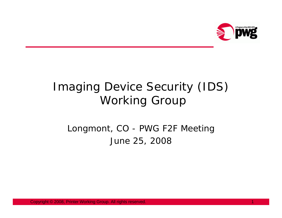

# Imaging Device Security (IDS) Working Group

#### Longmont, CO - PWG F2F Meeting June 25, 2008

Copyright © 2008, Printer Working Group. All rights reserved. 1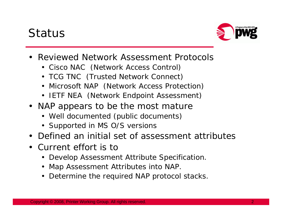## Status



- Reviewed Network Assessment Protocols
	- Cisco NAC (Network Access Control)
	- TCG TNC (Trusted Network Connect)
	- Microsoft NAP (Network Access Protection)
	- IETF NEA (Network Endpoint Assessment)
- NAP appears to be the most mature
	- Well documented (public documents)
	- Supported in MS O/S versions
- Defined an initial set of assessment attributes
- Current effort is to
	- Develop Assessment Attribute Specification.
	- Map Assessment Attributes into NAP.
	- Determine the required NAP protocol stacks.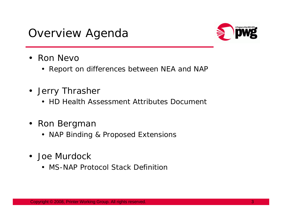### Overview Agenda



- Ron Nevc
	- Report on differences between NEA and NAP
- Jerry Thrasher
	- HD Health Assessment Attributes Document
- Ron Bergmar
	- NAP Binding & Proposed Extensions
- Joe Murdock
	- MS-NAP Protocol Stack Definition